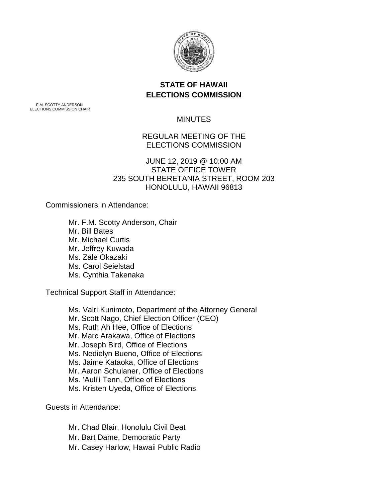

# **STATE OF HAWAII ELECTIONS COMMISSION**

F.M. SCOTTY ANDERSON ELECTIONS COMMISSION CHAIR

### **MINUTES**

# REGULAR MEETING OF THE ELECTIONS COMMISSION

#### JUNE 12, 2019 @ 10:00 AM STATE OFFICE TOWER 235 SOUTH BERETANIA STREET, ROOM 203 HONOLULU, HAWAII 96813

Commissioners in Attendance:

Mr. F.M. Scotty Anderson, Chair Mr. Bill Bates Mr. Michael Curtis Mr. Jeffrey Kuwada Ms. Zale Okazaki Ms. Carol Seielstad Ms. Cynthia Takenaka

Technical Support Staff in Attendance:

Ms. Valri Kunimoto, Department of the Attorney General Mr. Scott Nago, Chief Election Officer (CEO) Ms. Ruth Ah Hee, Office of Elections Mr. Marc Arakawa, Office of Elections Mr. Joseph Bird, Office of Elections Ms. Nedielyn Bueno, Office of Elections Ms. Jaime Kataoka, Office of Elections Mr. Aaron Schulaner, Office of Elections Ms. 'Auli'i Tenn, Office of Elections Ms. Kristen Uyeda, Office of Elections

Guests in Attendance:

Mr. Chad Blair, Honolulu Civil Beat Mr. Bart Dame, Democratic Party Mr. Casey Harlow, Hawaii Public Radio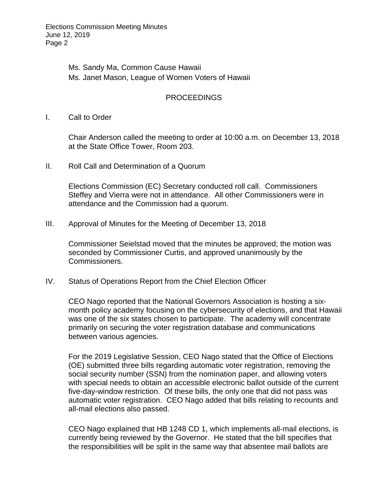Elections Commission Meeting Minutes June 12, 2019 Page 2

> Ms. Sandy Ma, Common Cause Hawaii Ms. Janet Mason, League of Women Voters of Hawaii

#### PROCEEDINGS

I. Call to Order

Chair Anderson called the meeting to order at 10:00 a.m. on December 13, 2018 at the State Office Tower, Room 203.

II. Roll Call and Determination of a Quorum

Elections Commission (EC) Secretary conducted roll call. Commissioners Steffey and Vierra were not in attendance. All other Commissioners were in attendance and the Commission had a quorum.

III. Approval of Minutes for the Meeting of December 13, 2018

Commissioner Seielstad moved that the minutes be approved; the motion was seconded by Commissioner Curtis, and approved unanimously by the Commissioners.

IV. Status of Operations Report from the Chief Election Officer

CEO Nago reported that the National Governors Association is hosting a sixmonth policy academy focusing on the cybersecurity of elections, and that Hawaii was one of the six states chosen to participate. The academy will concentrate primarily on securing the voter registration database and communications between various agencies.

For the 2019 Legislative Session, CEO Nago stated that the Office of Elections (OE) submitted three bills regarding automatic voter registration, removing the social security number (SSN) from the nomination paper, and allowing voters with special needs to obtain an accessible electronic ballot outside of the current five-day-window restriction. Of these bills, the only one that did not pass was automatic voter registration. CEO Nago added that bills relating to recounts and all-mail elections also passed.

CEO Nago explained that HB 1248 CD 1, which implements all-mail elections, is currently being reviewed by the Governor. He stated that the bill specifies that the responsibilities will be split in the same way that absentee mail ballots are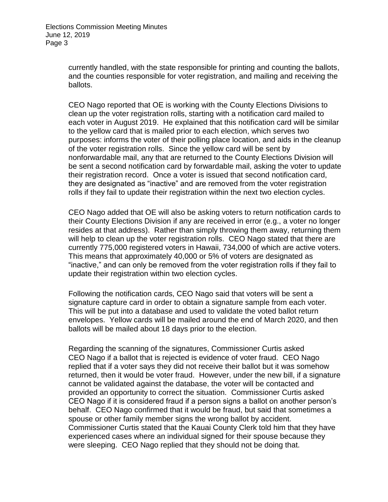currently handled, with the state responsible for printing and counting the ballots, and the counties responsible for voter registration, and mailing and receiving the ballots.

CEO Nago reported that OE is working with the County Elections Divisions to clean up the voter registration rolls, starting with a notification card mailed to each voter in August 2019. He explained that this notification card will be similar to the yellow card that is mailed prior to each election, which serves two purposes: informs the voter of their polling place location, and aids in the cleanup of the voter registration rolls. Since the yellow card will be sent by nonforwardable mail, any that are returned to the County Elections Division will be sent a second notification card by forwardable mail, asking the voter to update their registration record. Once a voter is issued that second notification card, they are designated as "inactive" and are removed from the voter registration rolls if they fail to update their registration within the next two election cycles.

CEO Nago added that OE will also be asking voters to return notification cards to their County Elections Division if any are received in error (e.g., a voter no longer resides at that address). Rather than simply throwing them away, returning them will help to clean up the voter registration rolls. CEO Nago stated that there are currently 775,000 registered voters in Hawaii, 734,000 of which are active voters. This means that approximately 40,000 or 5% of voters are designated as "inactive," and can only be removed from the voter registration rolls if they fail to update their registration within two election cycles.

Following the notification cards, CEO Nago said that voters will be sent a signature capture card in order to obtain a signature sample from each voter. This will be put into a database and used to validate the voted ballot return envelopes. Yellow cards will be mailed around the end of March 2020, and then ballots will be mailed about 18 days prior to the election.

Regarding the scanning of the signatures, Commissioner Curtis asked CEO Nago if a ballot that is rejected is evidence of voter fraud. CEO Nago replied that if a voter says they did not receive their ballot but it was somehow returned, then it would be voter fraud. However, under the new bill, if a signature cannot be validated against the database, the voter will be contacted and provided an opportunity to correct the situation. Commissioner Curtis asked CEO Nago if it is considered fraud if a person signs a ballot on another person's behalf. CEO Nago confirmed that it would be fraud, but said that sometimes a spouse or other family member signs the wrong ballot by accident. Commissioner Curtis stated that the Kauai County Clerk told him that they have experienced cases where an individual signed for their spouse because they were sleeping. CEO Nago replied that they should not be doing that.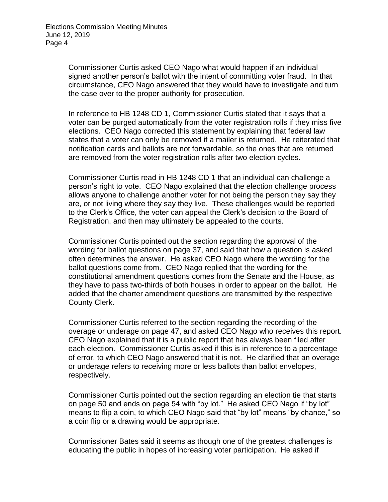Commissioner Curtis asked CEO Nago what would happen if an individual signed another person's ballot with the intent of committing voter fraud. In that circumstance, CEO Nago answered that they would have to investigate and turn the case over to the proper authority for prosecution.

In reference to HB 1248 CD 1, Commissioner Curtis stated that it says that a voter can be purged automatically from the voter registration rolls if they miss five elections. CEO Nago corrected this statement by explaining that federal law states that a voter can only be removed if a mailer is returned. He reiterated that notification cards and ballots are not forwardable, so the ones that are returned are removed from the voter registration rolls after two election cycles.

Commissioner Curtis read in HB 1248 CD 1 that an individual can challenge a person's right to vote. CEO Nago explained that the election challenge process allows anyone to challenge another voter for not being the person they say they are, or not living where they say they live. These challenges would be reported to the Clerk's Office, the voter can appeal the Clerk's decision to the Board of Registration, and then may ultimately be appealed to the courts.

Commissioner Curtis pointed out the section regarding the approval of the wording for ballot questions on page 37, and said that how a question is asked often determines the answer. He asked CEO Nago where the wording for the ballot questions come from. CEO Nago replied that the wording for the constitutional amendment questions comes from the Senate and the House, as they have to pass two-thirds of both houses in order to appear on the ballot. He added that the charter amendment questions are transmitted by the respective County Clerk.

Commissioner Curtis referred to the section regarding the recording of the overage or underage on page 47, and asked CEO Nago who receives this report. CEO Nago explained that it is a public report that has always been filed after each election. Commissioner Curtis asked if this is in reference to a percentage of error, to which CEO Nago answered that it is not. He clarified that an overage or underage refers to receiving more or less ballots than ballot envelopes, respectively.

Commissioner Curtis pointed out the section regarding an election tie that starts on page 50 and ends on page 54 with "by lot." He asked CEO Nago if "by lot" means to flip a coin, to which CEO Nago said that "by lot" means "by chance," so a coin flip or a drawing would be appropriate.

Commissioner Bates said it seems as though one of the greatest challenges is educating the public in hopes of increasing voter participation. He asked if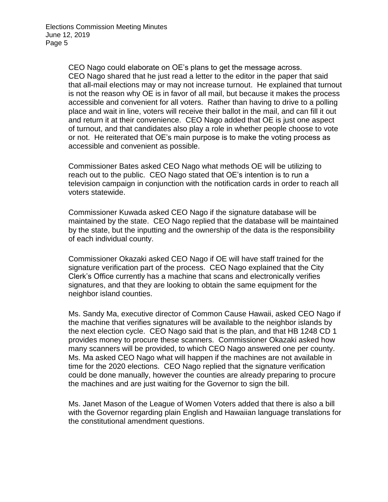CEO Nago could elaborate on OE's plans to get the message across. CEO Nago shared that he just read a letter to the editor in the paper that said that all-mail elections may or may not increase turnout. He explained that turnout is not the reason why OE is in favor of all mail, but because it makes the process accessible and convenient for all voters. Rather than having to drive to a polling place and wait in line, voters will receive their ballot in the mail, and can fill it out and return it at their convenience. CEO Nago added that OE is just one aspect of turnout, and that candidates also play a role in whether people choose to vote or not. He reiterated that OE's main purpose is to make the voting process as accessible and convenient as possible.

Commissioner Bates asked CEO Nago what methods OE will be utilizing to reach out to the public. CEO Nago stated that OE's intention is to run a television campaign in conjunction with the notification cards in order to reach all voters statewide.

Commissioner Kuwada asked CEO Nago if the signature database will be maintained by the state. CEO Nago replied that the database will be maintained by the state, but the inputting and the ownership of the data is the responsibility of each individual county.

Commissioner Okazaki asked CEO Nago if OE will have staff trained for the signature verification part of the process. CEO Nago explained that the City Clerk's Office currently has a machine that scans and electronically verifies signatures, and that they are looking to obtain the same equipment for the neighbor island counties.

Ms. Sandy Ma, executive director of Common Cause Hawaii, asked CEO Nago if the machine that verifies signatures will be available to the neighbor islands by the next election cycle. CEO Nago said that is the plan, and that HB 1248 CD 1 provides money to procure these scanners. Commissioner Okazaki asked how many scanners will be provided, to which CEO Nago answered one per county. Ms. Ma asked CEO Nago what will happen if the machines are not available in time for the 2020 elections. CEO Nago replied that the signature verification could be done manually, however the counties are already preparing to procure the machines and are just waiting for the Governor to sign the bill.

Ms. Janet Mason of the League of Women Voters added that there is also a bill with the Governor regarding plain English and Hawaiian language translations for the constitutional amendment questions.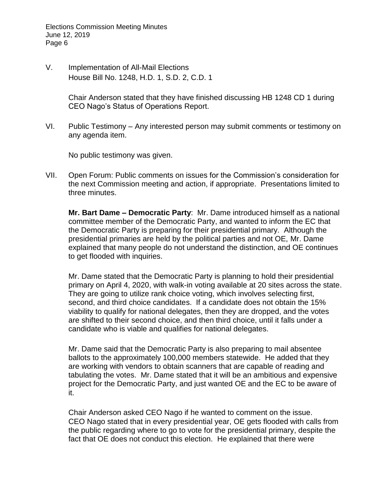Elections Commission Meeting Minutes June 12, 2019 Page 6

V. Implementation of All-Mail Elections House Bill No. 1248, H.D. 1, S.D. 2, C.D. 1

> Chair Anderson stated that they have finished discussing HB 1248 CD 1 during CEO Nago's Status of Operations Report.

VI. Public Testimony – Any interested person may submit comments or testimony on any agenda item.

No public testimony was given.

VII. Open Forum: Public comments on issues for the Commission's consideration for the next Commission meeting and action, if appropriate. Presentations limited to three minutes.

**Mr. Bart Dame – Democratic Party**: Mr. Dame introduced himself as a national committee member of the Democratic Party, and wanted to inform the EC that the Democratic Party is preparing for their presidential primary. Although the presidential primaries are held by the political parties and not OE, Mr. Dame explained that many people do not understand the distinction, and OE continues to get flooded with inquiries.

Mr. Dame stated that the Democratic Party is planning to hold their presidential primary on April 4, 2020, with walk-in voting available at 20 sites across the state. They are going to utilize rank choice voting, which involves selecting first, second, and third choice candidates. If a candidate does not obtain the 15% viability to qualify for national delegates, then they are dropped, and the votes are shifted to their second choice, and then third choice, until it falls under a candidate who is viable and qualifies for national delegates.

Mr. Dame said that the Democratic Party is also preparing to mail absentee ballots to the approximately 100,000 members statewide. He added that they are working with vendors to obtain scanners that are capable of reading and tabulating the votes. Mr. Dame stated that it will be an ambitious and expensive project for the Democratic Party, and just wanted OE and the EC to be aware of it.

Chair Anderson asked CEO Nago if he wanted to comment on the issue. CEO Nago stated that in every presidential year, OE gets flooded with calls from the public regarding where to go to vote for the presidential primary, despite the fact that OE does not conduct this election. He explained that there were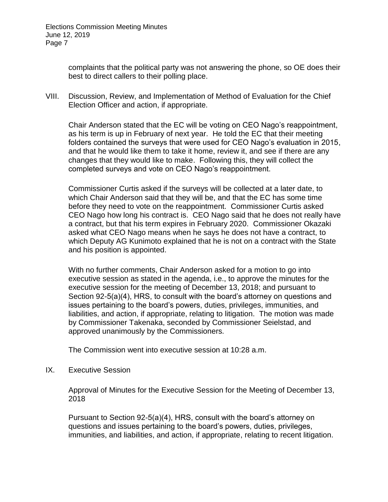complaints that the political party was not answering the phone, so OE does their best to direct callers to their polling place.

VIII. Discussion, Review, and Implementation of Method of Evaluation for the Chief Election Officer and action, if appropriate.

Chair Anderson stated that the EC will be voting on CEO Nago's reappointment, as his term is up in February of next year. He told the EC that their meeting folders contained the surveys that were used for CEO Nago's evaluation in 2015, and that he would like them to take it home, review it, and see if there are any changes that they would like to make. Following this, they will collect the completed surveys and vote on CEO Nago's reappointment.

Commissioner Curtis asked if the surveys will be collected at a later date, to which Chair Anderson said that they will be, and that the EC has some time before they need to vote on the reappointment. Commissioner Curtis asked CEO Nago how long his contract is. CEO Nago said that he does not really have a contract, but that his term expires in February 2020. Commissioner Okazaki asked what CEO Nago means when he says he does not have a contract, to which Deputy AG Kunimoto explained that he is not on a contract with the State and his position is appointed.

With no further comments, Chair Anderson asked for a motion to go into executive session as stated in the agenda, i.e., to approve the minutes for the executive session for the meeting of December 13, 2018; and pursuant to Section 92-5(a)(4), HRS, to consult with the board's attorney on questions and issues pertaining to the board's powers, duties, privileges, immunities, and liabilities, and action, if appropriate, relating to litigation. The motion was made by Commissioner Takenaka, seconded by Commissioner Seielstad, and approved unanimously by the Commissioners.

The Commission went into executive session at 10:28 a.m.

IX. Executive Session

Approval of Minutes for the Executive Session for the Meeting of December 13, 2018

Pursuant to Section 92-5(a)(4), HRS, consult with the board's attorney on questions and issues pertaining to the board's powers, duties, privileges, immunities, and liabilities, and action, if appropriate, relating to recent litigation.